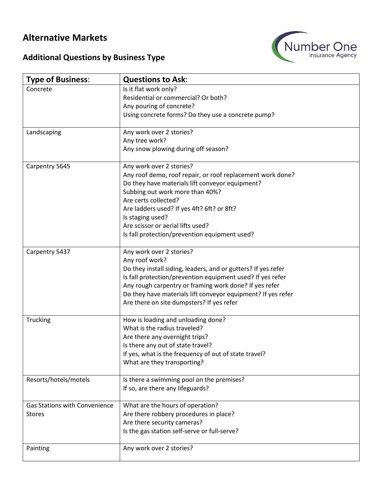## **Alternative Markets**



## **Additional Questions by Business Type**

| <b>Type of Business:</b>             | <b>Questions to Ask:</b>                                      |
|--------------------------------------|---------------------------------------------------------------|
| Concrete                             | Is it flat work only?                                         |
|                                      | Residential or commercial? Or both?                           |
|                                      | Any pouring of concrete?                                      |
|                                      | Using concrete forms? Do they use a concrete pump?            |
| Landscaping                          | Any work over 2 stories?                                      |
|                                      | Any tree work?                                                |
|                                      | Any snow plowing during off season?                           |
| Carpentry 5645                       | Any work over 2 stories?                                      |
|                                      | Any roof demo, roof repair, or roof replacement work done?    |
|                                      | Do they have materials lift conveyor equipment?               |
|                                      | Subbing out work more than 40%?                               |
|                                      | Are certs collected?                                          |
|                                      | Are ladders used? If yes 4ft? 6ft? or 8ft?                    |
|                                      | Is staging used?<br>Are scissor or aerial lifts used?         |
|                                      | Is fall protection/prevention equipment used?                 |
|                                      |                                                               |
| Carpentry 5437                       | Any work over 2 stories?                                      |
|                                      | Any roof work?                                                |
|                                      | Do they install siding, leaders, and or gutters? If yes refer |
|                                      | Is fall protection/prevention equipment used? If yes refer    |
|                                      | Any rough carpentry or framing work done? If yes refer        |
|                                      | Do they have materials lift conveyor equipment? If yes refer  |
|                                      | Are there on site dumpsters? If yes refer                     |
| Trucking                             | How is loading and unloading done?                            |
|                                      | What is the radius traveled?                                  |
|                                      | Are there any overnight trips?                                |
|                                      | Is there any out of state travel?                             |
|                                      | If yes, what is the frequency of out of state travel?         |
|                                      | What are they transporting?                                   |
| Resorts/hotels/motels                | Is there a swimming pool on the premises?                     |
|                                      | If so, are there any lifeguards?                              |
| <b>Gas Stations with Convenience</b> | What are the hours of operation?                              |
| <b>Stores</b>                        | Are there robbery procedures in place?                        |
|                                      | Are there security cameras?                                   |
|                                      | Is the gas station self-serve or full-serve?                  |
| Painting                             | Any work over 2 stories?                                      |
|                                      |                                                               |